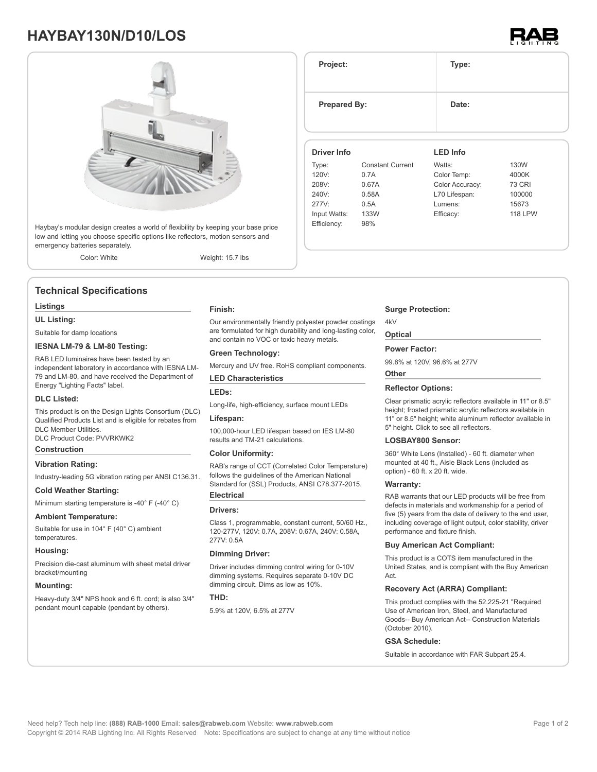# **HAYBAY130N/D10/LOS**



Haybay's modular design creates a world of flexibility by keeping your base price low and letting you choose specific options like reflectors, motion sensors and emergency batteries separately.

Color: White Weight: 15.7 lbs

## **Technical Specifications**

### **Listings**

**UL Listing:**

Suitable for damp locations

### **IESNA LM-79 & LM-80 Testing:**

RAB LED luminaires have been tested by an independent laboratory in accordance with IESNA LM-79 and LM-80, and have received the Department of Energy "Lighting Facts" label.

### **DLC Listed:**

This product is on the Design Lights Consortium (DLC) Qualified Products List and is eligible for rebates from DLC Member Utilities.

DLC Product Code: PVVRKWK2

## **Construction**

### **Vibration Rating:**

Industry-leading 5G vibration rating per ANSI C136.31.

#### **Cold Weather Starting:**

Minimum starting temperature is -40° F (-40° C)

#### **Ambient Temperature:**

Suitable for use in 104° F (40° C) ambient temperatures.

### **Housing:**

Precision die-cast aluminum with sheet metal driver bracket/mounting

### **Mounting:**

Heavy-duty 3/4" NPS hook and 6 ft. cord; is also 3/4" pendant mount capable (pendant by others).

#### **Finish:**

Our environmentally friendly polyester powder coatings are formulated for high durability and long-lasting color, and contain no VOC or toxic heavy metals.

### **Green Technology:**

Mercury and UV free. RoHS compliant components.

#### **LED Characteristics**

### **LEDs:**

Long-life, high-efficiency, surface mount LEDs

### **Lifespan:**

100,000-hour LED lifespan based on IES LM-80 results and TM-21 calculations.

### **Color Uniformity:**

RAB's range of CCT (Correlated Color Temperature) follows the guidelines of the American National Standard for (SSL) Products, ANSI C78.377-2015. **Electrical**

### **Drivers:**

Class 1, programmable, constant current, 50/60 Hz., 120-277V, 120V: 0.7A, 208V: 0.67A, 240V: 0.58A, 277V: 0.5A

### **Dimming Driver:**

Driver includes dimming control wiring for 0-10V dimming systems. Requires separate 0-10V DC dimming circuit. Dims as low as 10%.

### **THD:**

5.9% at 120V, 6.5% at 277V

| Project:            |                         | Type:           |                |  |  |
|---------------------|-------------------------|-----------------|----------------|--|--|
| <b>Prepared By:</b> |                         | Date:           |                |  |  |
| <b>Driver Info</b>  |                         | <b>LED Info</b> |                |  |  |
| Type:               | <b>Constant Current</b> | Watts:          | 130W           |  |  |
| 120V:               | 0.7A                    | Color Temp:     | 4000K          |  |  |
| 208V:               | 0.67A                   | Color Accuracy: | <b>73 CRI</b>  |  |  |
| 240V:               | 0.58A                   | L70 Lifespan:   | 100000         |  |  |
| 277V:               | 0.5A                    | Lumens:         | 15673          |  |  |
| Input Watts:        | 133W                    | Efficacy:       | <b>118 LPW</b> |  |  |
| Efficiency:         | 98%                     |                 |                |  |  |

### **Surge Protection:**

### **Optical**

4kV

#### **Power Factor:**

99.8% at 120V, 96.6% at 277V

### **Other**

### **Reflector Options:**

Clear prismatic acrylic reflectors available in 11" or 8.5" height; frosted prismatic acrylic reflectors available in 11" or 8.5" height; white aluminum reflector available in 5" height. Click to see all reflectors.

### **LOSBAY800 Sensor:**

360° White Lens (Installed) - 60 ft. diameter when mounted at 40 ft., Aisle Black Lens (included as option) - 60 ft. x 20 ft. wide.

### **Warranty:**

RAB warrants that our LED products will be free from defects in materials and workmanship for a period of five (5) years from the date of delivery to the end user, including coverage of light output, color stability, driver performance and fixture finish.

### **Buy American Act Compliant:**

This product is a COTS item manufactured in the United States, and is compliant with the Buy American Act.

### **Recovery Act (ARRA) Compliant:**

This product complies with the 52.225-21 "Required Use of American Iron, Steel, and Manufactured Goods-- Buy American Act-- Construction Materials (October 2010).

### **GSA Schedule:**

Suitable in accordance with FAR Subpart 25.4.